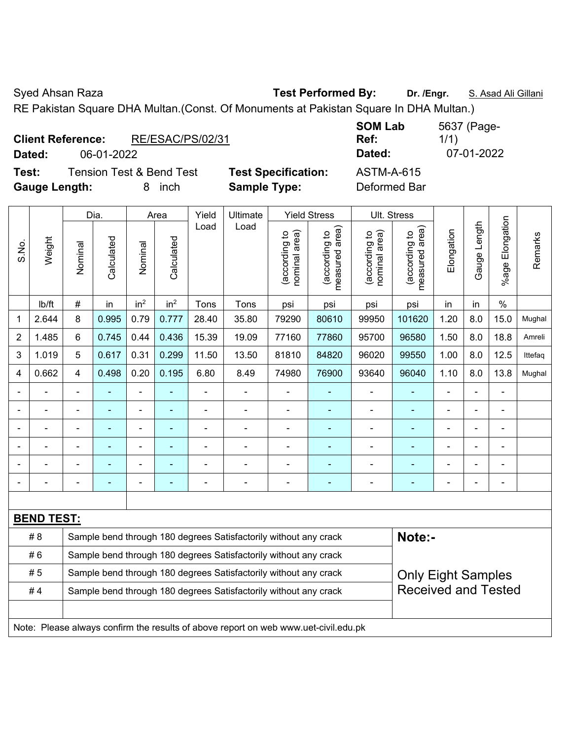Syed Ahsan Raza **Test Performed By:** Dr. /Engr. **S. Asad Ali Gillani** Ali Gillani

RE Pakistan Square DHA Multan.(Const. Of Monuments at Pakistan Square In DHA Multan.)

|        | <b>Client Reference:</b> | RE/ESAC/PS/02/31                    |                |
|--------|--------------------------|-------------------------------------|----------------|
| Dated: | 06-01-2022               |                                     |                |
| Test:  |                          | <b>Tension Test &amp; Bend Test</b> | <b>Test Sp</b> |

**Tecification:** ASTM-A-615 **Gauge Length:** 8 inch **Sample Type:** Deformed Bar

**SOM Lab Ref:**  5637 (Page-1/1) **Dated:** 06-01-2022 **Dated:** 07-01-2022

|                          |                   | Dia.                                                             |                | Area            |                          | Yield          | Ultimate                                                         |                                | <b>Yield Stress</b>             |                                | Ult. Stress                        |                           |                |                       |         |
|--------------------------|-------------------|------------------------------------------------------------------|----------------|-----------------|--------------------------|----------------|------------------------------------------------------------------|--------------------------------|---------------------------------|--------------------------------|------------------------------------|---------------------------|----------------|-----------------------|---------|
| S.No.                    | Weight            | Nominal                                                          | Calculated     | Nominal         | Calculated               | Load           | Load                                                             | nominal area)<br>(according to | (according to<br>measured area) | nominal area)<br>(according to | area)<br>(according to<br>measured | Elongation                | Gauge Length   | Elongation<br>$%$ age | Remarks |
|                          | lb/ft             | $\#$                                                             | in             | in <sup>2</sup> | in <sup>2</sup>          | Tons           | Tons                                                             | psi                            | psi                             | psi                            | psi                                | in                        | in             | $\%$                  |         |
| 1                        | 2.644             | 8                                                                | 0.995          | 0.79            | 0.777                    | 28.40          | 35.80                                                            | 79290                          | 80610                           | 99950                          | 101620                             | 1.20                      | 8.0            | 15.0                  | Mughal  |
| $\overline{2}$           | 1.485             | 6                                                                | 0.745          | 0.44            | 0.436                    | 15.39          | 19.09                                                            | 77160                          | 77860                           | 95700                          | 96580                              | 1.50                      | 8.0            | 18.8                  | Amreli  |
| 3                        | 1.019             | 5                                                                | 0.617          | 0.31            | 0.299                    | 11.50          | 13.50                                                            | 81810                          | 84820                           | 96020                          | 99550                              | 1.00                      | 8.0            | 12.5                  | Ittefaq |
| 4                        | 0.662             | $\overline{4}$                                                   | 0.498          | 0.20            | 0.195                    | 6.80           | 8.49                                                             | 74980                          | 76900                           | 93640                          | 96040                              | 1.10                      | 8.0            | 13.8                  | Mughal  |
|                          |                   | $\blacksquare$                                                   | ä,             | ÷,              | ÷,                       | $\overline{a}$ | $\blacksquare$                                                   | -                              | $\qquad \qquad \blacksquare$    | ÷,                             | $\blacksquare$                     | ÷                         | ÷,             | ÷,                    |         |
|                          | ۰                 | $\blacksquare$                                                   | ä,             | $\blacksquare$  | $\blacksquare$           | $\blacksquare$ | $\blacksquare$                                                   |                                | $\blacksquare$                  | ۰                              | $\blacksquare$                     | ÷                         | $\blacksquare$ | $\blacksquare$        |         |
|                          |                   |                                                                  |                | ۰               | ۰                        |                |                                                                  | $\blacksquare$                 | ٠                               |                                | ٠                                  | ÷                         |                |                       |         |
|                          |                   |                                                                  |                | $\blacksquare$  | ۰                        |                | $\blacksquare$                                                   | $\blacksquare$                 | ÷                               | $\blacksquare$                 | ٠                                  | ÷                         |                | $\blacksquare$        |         |
| $\overline{\phantom{0}}$ |                   | $\blacksquare$                                                   | $\blacksquare$ | ÷               | $\overline{\phantom{0}}$ | $\blacksquare$ | $\blacksquare$                                                   |                                | ۰                               | $\blacksquare$                 | $\overline{\phantom{a}}$           | ÷                         | $\blacksquare$ | $\blacksquare$        |         |
|                          | $\blacksquare$    | $\blacksquare$                                                   | $\blacksquare$ | ۰               | $\overline{\phantom{0}}$ | ۰              | $\blacksquare$                                                   |                                | ۰                               | $\blacksquare$                 | $\blacksquare$                     | $\overline{a}$            | $\blacksquare$ | $\blacksquare$        |         |
|                          |                   |                                                                  |                |                 |                          |                |                                                                  |                                |                                 |                                |                                    |                           |                |                       |         |
|                          | <b>BEND TEST:</b> |                                                                  |                |                 |                          |                |                                                                  |                                |                                 |                                |                                    |                           |                |                       |         |
|                          | # 8               |                                                                  |                |                 |                          |                | Sample bend through 180 degrees Satisfactorily without any crack |                                |                                 |                                | Note:-                             |                           |                |                       |         |
|                          | #6                |                                                                  |                |                 |                          |                | Sample bend through 180 degrees Satisfactorily without any crack |                                |                                 |                                |                                    |                           |                |                       |         |
|                          | #5                | Sample bend through 180 degrees Satisfactorily without any crack |                |                 |                          |                |                                                                  |                                |                                 |                                |                                    | <b>Only Eight Samples</b> |                |                       |         |
|                          | #4                |                                                                  |                |                 |                          |                | Sample bend through 180 degrees Satisfactorily without any crack |                                |                                 |                                | <b>Received and Tested</b>         |                           |                |                       |         |
|                          |                   |                                                                  |                |                 |                          |                |                                                                  |                                |                                 |                                |                                    |                           |                |                       |         |

Note: Please always confirm the results of above report on web www.uet-civil.edu.pk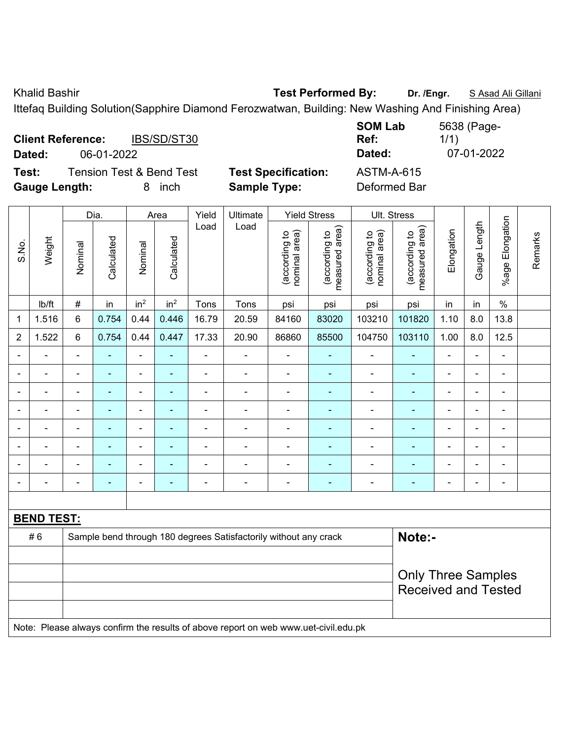Khalid Bashir **Test Performed By:** Dr. /Engr. **SAsad Ali Gillani** Charles By: Dr. /Engr. **SAsad Ali Gillani** 

Ittefaq Building Solution(Sapphire Diamond Ferozwatwan, Building: New Washing And Finishing Area)

| <b>Client Reference:</b> |            | IBS/SD/ST30                         |                            | <b>SUMLAD</b><br>Ref: | 5050 (Page-<br>1/1) |
|--------------------------|------------|-------------------------------------|----------------------------|-----------------------|---------------------|
| Dated:                   | 06-01-2022 |                                     |                            | Dated:                | 07-01-2022          |
| Test:                    |            | <b>Tension Test &amp; Bend Test</b> | <b>Test Specification:</b> | ASTM-A-615            |                     |
| <b>Gauge Length:</b>     |            | inch                                | <b>Sample Type:</b>        | Deformed Bar          |                     |

|                |                   |                | Dia.           |                          | Area            | Yield          | Ultimate                                                                            |                                | <b>Yield Stress</b>             |                                | Ult. Stress                     |                                                         |                          |                 |         |
|----------------|-------------------|----------------|----------------|--------------------------|-----------------|----------------|-------------------------------------------------------------------------------------|--------------------------------|---------------------------------|--------------------------------|---------------------------------|---------------------------------------------------------|--------------------------|-----------------|---------|
| S.No.          | Weight            | Nominal        | Calculated     | Nominal                  | Calculated      | Load           | Load                                                                                | (according to<br>nominal area) | (according to<br>measured area) | nominal area)<br>(according to | measured area)<br>(according to | Elongation                                              | Gauge Length             | %age Elongation | Remarks |
|                | lb/ft             | $\#$           | in             | in <sup>2</sup>          | in <sup>2</sup> | Tons           | Tons                                                                                | psi                            | psi                             | psi                            | psi                             | in                                                      | in                       | $\%$            |         |
| 1              | 1.516             | 6              | 0.754          | 0.44                     | 0.446           | 16.79          | 20.59                                                                               | 84160                          | 83020                           | 103210                         | 101820                          | 1.10                                                    | 8.0                      | 13.8            |         |
| $\overline{2}$ | 1.522             | 6              | 0.754          | 0.44                     | 0.447           | 17.33          | 20.90                                                                               | 86860                          | 85500                           | 104750                         | 103110                          | 1.00                                                    | 8.0                      | 12.5            |         |
|                | ÷,                | ä,             | $\blacksquare$ | $\blacksquare$           | $\blacksquare$  | $\blacksquare$ | $\blacksquare$                                                                      | $\blacksquare$                 | $\blacksquare$                  | $\blacksquare$                 | $\blacksquare$                  | $\blacksquare$                                          | $\blacksquare$           | $\blacksquare$  |         |
|                | ä,                | $\blacksquare$ | $\blacksquare$ | $\blacksquare$           | $\blacksquare$  | $\blacksquare$ | $\blacksquare$                                                                      | $\qquad \qquad \blacksquare$   | $\blacksquare$                  | $\blacksquare$                 | $\blacksquare$                  | $\blacksquare$                                          | $\blacksquare$           | $\blacksquare$  |         |
|                | $\blacksquare$    |                | ä,             | $\blacksquare$           | $\blacksquare$  | ÷              | $\blacksquare$                                                                      | $\blacksquare$                 | ÷                               | $\blacksquare$                 | ä,                              | $\blacksquare$                                          | $\overline{a}$           | ä,              |         |
|                | $\blacksquare$    |                | ÷              | Ē,                       | $\blacksquare$  | $\blacksquare$ | $\blacksquare$                                                                      | $\blacksquare$                 | $\blacksquare$                  | $\blacksquare$                 | $\blacksquare$                  |                                                         |                          | $\blacksquare$  |         |
|                | L.                |                |                | L,                       |                 |                | $\blacksquare$                                                                      | $\blacksquare$                 | Ē.                              | $\blacksquare$                 | ÷,                              |                                                         |                          |                 |         |
| $\blacksquare$ | $\blacksquare$    | $\blacksquare$ | ۰              | $\overline{\phantom{a}}$ | $\blacksquare$  | ÷              | $\overline{\phantom{a}}$                                                            | $\overline{\phantom{a}}$       | $\blacksquare$                  | $\blacksquare$                 | $\blacksquare$                  | $\blacksquare$                                          | $\blacksquare$           | $\blacksquare$  |         |
|                | $\blacksquare$    |                | ÷              | $\blacksquare$           | $\blacksquare$  | $\blacksquare$ | $\blacksquare$                                                                      | $\overline{\phantom{0}}$       | ÷,                              | $\qquad \qquad \blacksquare$   | ä,                              | $\overline{\phantom{0}}$                                | $\overline{\phantom{0}}$ | $\blacksquare$  |         |
|                | $\blacksquare$    | $\blacksquare$ | ۰              | $\blacksquare$           | $\blacksquare$  | ä,             | $\qquad \qquad \blacksquare$                                                        | $\qquad \qquad \blacksquare$   | $\blacksquare$                  | $\blacksquare$                 | $\blacksquare$                  | $\blacksquare$                                          | $\blacksquare$           | $\frac{1}{2}$   |         |
|                |                   |                |                |                          |                 |                |                                                                                     |                                |                                 |                                |                                 |                                                         |                          |                 |         |
|                | <b>BEND TEST:</b> |                |                |                          |                 |                |                                                                                     |                                |                                 |                                |                                 |                                                         |                          |                 |         |
|                | #6                |                |                |                          |                 |                | Sample bend through 180 degrees Satisfactorily without any crack                    |                                |                                 |                                | Note:-                          |                                                         |                          |                 |         |
|                |                   |                |                |                          |                 |                |                                                                                     |                                |                                 |                                |                                 |                                                         |                          |                 |         |
|                |                   |                |                |                          |                 |                |                                                                                     |                                |                                 |                                |                                 | <b>Only Three Samples</b><br><b>Received and Tested</b> |                          |                 |         |
|                |                   |                |                |                          |                 |                | Note: Please always confirm the results of above report on web www.uet-civil.edu.pk |                                |                                 |                                |                                 |                                                         |                          |                 |         |

**SOM Lab**  5638 (Page-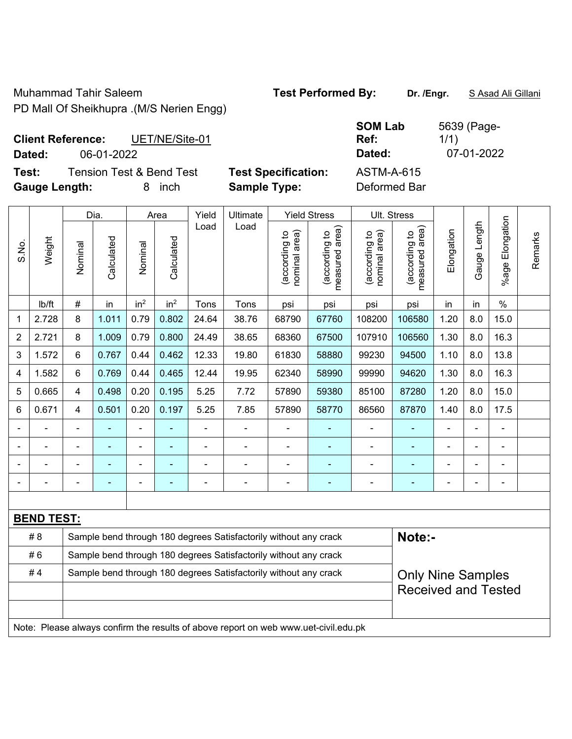Muhammad Tahir Saleem **Test Performed By:** Dr. /Engr. **SAsad Ali Gillani** PD Mall Of Sheikhupra .(M/S Nerien Engg)

| <b>SOM Lab</b> | 5639 (Page- |
|----------------|-------------|
| Ref:           | 1/1)        |
| Dated:         | 07-01-2022  |
| ASTM-A-615     |             |

**Client Reference:** UET/NE/Site-01 **Dated:** 06-01-2022 **Dated:** 07-01-2022

**Test:** Tension Test & Bend Test **Test Specification: Gauge Length:** 8 inch **Sample Type:** Deformed Bar

|                |                   |                            | Dia.           |                 | Area                                                             | Yield          | Ultimate                                                                            |                                | <b>Yield Stress</b>             |                                | Ult. Stress                     |            |              |                       |         |
|----------------|-------------------|----------------------------|----------------|-----------------|------------------------------------------------------------------|----------------|-------------------------------------------------------------------------------------|--------------------------------|---------------------------------|--------------------------------|---------------------------------|------------|--------------|-----------------------|---------|
| S.No.          | Weight            | Nominal                    | Calculated     | Nominal         | Calculated                                                       | Load           | Load                                                                                | nominal area)<br>(according to | (according to<br>measured area) | nominal area)<br>(according to | measured area)<br>(according to | Elongation | Gauge Length | Elongation<br>$%$ age | Remarks |
|                | lb/ft             | #                          | in             | in <sup>2</sup> | in <sup>2</sup>                                                  | Tons           | Tons                                                                                | psi                            | psi                             | psi                            | psi                             | in         | in           | $\%$                  |         |
| 1              | 2.728             | 8                          | 1.011          | 0.79            | 0.802                                                            | 24.64          | 38.76                                                                               | 68790                          | 67760                           | 108200                         | 106580                          | 1.20       | 8.0          | 15.0                  |         |
| $\overline{2}$ | 2.721             | 8                          | 1.009          | 0.79            | 0.800                                                            | 24.49          | 38.65                                                                               | 68360                          | 67500                           | 107910                         | 106560                          | 1.30       | 8.0          | 16.3                  |         |
| 3              | 1.572             | 6                          | 0.767          | 0.44            | 0.462                                                            | 12.33          | 19.80                                                                               | 61830                          | 58880                           | 99230                          | 94500                           | 1.10       | 8.0          | 13.8                  |         |
| 4              | 1.582             | 6                          | 0.769          | 0.44            | 0.465                                                            | 12.44          | 19.95                                                                               | 62340                          | 58990                           | 99990                          | 94620                           | 1.30       | 8.0          | 16.3                  |         |
| 5              | 0.665             | 4                          | 0.498          | 0.20            | 0.195                                                            | 5.25           | 7.72                                                                                | 57890                          | 59380                           | 85100                          | 87280                           | 1.20       | 8.0          | 15.0                  |         |
| 6              | 0.671             | 4                          | 0.501          | 0.20            | 0.197                                                            | 5.25           | 7.85                                                                                | 57890                          | 58770                           | 86560                          | 87870                           | 1.40       | 8.0          | 17.5                  |         |
| $\blacksquare$ |                   | $\blacksquare$             |                | $\blacksquare$  | ÷                                                                | $\blacksquare$ | ÷.                                                                                  | $\blacksquare$                 | ÷                               | $\blacksquare$                 | ÷,                              |            |              | ä,                    |         |
|                |                   |                            |                | $\blacksquare$  |                                                                  | $\blacksquare$ |                                                                                     | Ē,                             |                                 | $\blacksquare$                 | ۰                               |            |              | $\blacksquare$        |         |
|                |                   |                            |                |                 |                                                                  |                |                                                                                     |                                |                                 | $\blacksquare$                 | ÷,                              |            |              |                       |         |
|                |                   | $\blacksquare$             | $\blacksquare$ | ÷               |                                                                  | ÷              | $\overline{a}$                                                                      | ÷                              | ٠                               | -                              | ۰                               | ÷          |              | $\blacksquare$        |         |
|                |                   |                            |                |                 |                                                                  |                |                                                                                     |                                |                                 |                                |                                 |            |              |                       |         |
|                | <b>BEND TEST:</b> |                            |                |                 |                                                                  |                |                                                                                     |                                |                                 |                                |                                 |            |              |                       |         |
|                | #8                |                            |                |                 |                                                                  |                | Sample bend through 180 degrees Satisfactorily without any crack                    |                                |                                 |                                | Note:-                          |            |              |                       |         |
|                | #6                |                            |                |                 |                                                                  |                | Sample bend through 180 degrees Satisfactorily without any crack                    |                                |                                 |                                |                                 |            |              |                       |         |
|                | #4                |                            |                |                 | Sample bend through 180 degrees Satisfactorily without any crack |                | <b>Only Nine Samples</b>                                                            |                                |                                 |                                |                                 |            |              |                       |         |
|                |                   | <b>Received and Tested</b> |                |                 |                                                                  |                |                                                                                     |                                |                                 |                                |                                 |            |              |                       |         |
|                |                   |                            |                |                 |                                                                  |                |                                                                                     |                                |                                 |                                |                                 |            |              |                       |         |
|                |                   |                            |                |                 |                                                                  |                | Note: Please always confirm the results of above report on web www.uet-civil.edu.pk |                                |                                 |                                |                                 |            |              |                       |         |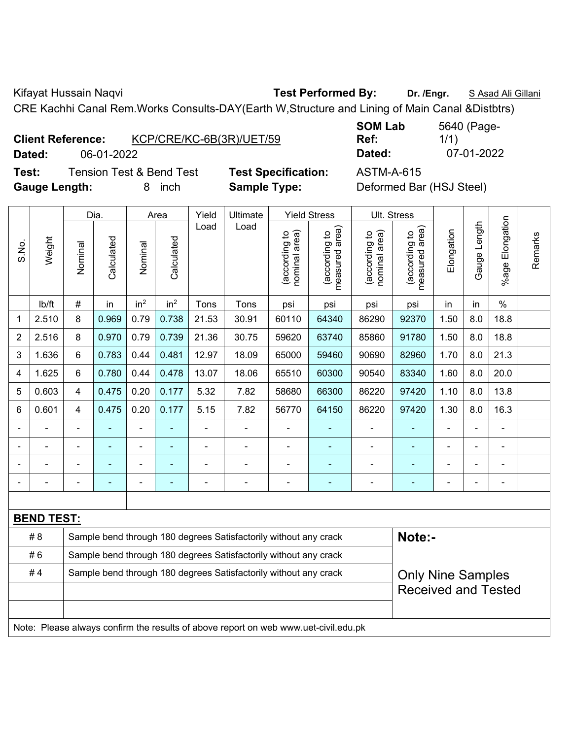Kifayat Hussain Naqvi **Test Performed By:** Dr. /Engr. **SAsad Ali Gillani** Cillani

CRE Kachhi Canal Rem.Works Consults-DAY(Earth W,Structure and Lining of Main Canal &Distbtrs)

| <b>Client Reference:</b> | KCP/CRE/KC-6B(3R)/UET/59 |
|--------------------------|--------------------------|
|                          |                          |

**Test:** Tension Test & Bend Test **Test Specification:** ASTM-A-615 **Gauge Length:** 8 inch **Sample Type:** Deformed Bar (HSJ Steel)

**SOM Lab Ref:**  5640 (Page-1/1) **Dated:** 06-01-2022 **Dated:** 07-01-2022

|       |                   |                                                                  | Dia.       |                 | Area            | Yield          | Ultimate                                                                            |                                | <b>Yield Stress</b>             |                                | Ult. Stress                     |                          |              |                       |         |
|-------|-------------------|------------------------------------------------------------------|------------|-----------------|-----------------|----------------|-------------------------------------------------------------------------------------|--------------------------------|---------------------------------|--------------------------------|---------------------------------|--------------------------|--------------|-----------------------|---------|
| S.No. | Weight            | Nominal                                                          | Calculated | Nominal         | Calculated      | Load           | Load                                                                                | nominal area)<br>(according to | (according to<br>measured area) | nominal area)<br>(according to | measured area)<br>(according to | Elongation               | Gauge Length | Elongation<br>$%$ age | Remarks |
|       | lb/ft             | $\#$                                                             | in         | in <sup>2</sup> | in <sup>2</sup> | Tons           | Tons                                                                                | psi                            | psi                             | psi                            | psi                             | in                       | in           | $\%$                  |         |
| 1     | 2.510             | 8                                                                | 0.969      | 0.79            | 0.738           | 21.53          | 30.91                                                                               | 60110                          | 64340                           | 86290                          | 92370                           | 1.50                     | 8.0          | 18.8                  |         |
| 2     | 2.516             | 8                                                                | 0.970      | 0.79            | 0.739           | 21.36          | 30.75                                                                               | 59620                          | 63740                           | 85860                          | 91780                           | 1.50                     | 8.0          | 18.8                  |         |
| 3     | 1.636             | $6\phantom{1}$                                                   | 0.783      | 0.44            | 0.481           | 12.97          | 18.09                                                                               | 65000                          | 59460                           | 90690                          | 82960                           | 1.70                     | 8.0          | 21.3                  |         |
| 4     | 1.625             | $6\phantom{a}$                                                   | 0.780      | 0.44            | 0.478           | 13.07          | 18.06                                                                               | 65510                          | 60300                           | 90540                          | 83340                           | 1.60                     | 8.0          | 20.0                  |         |
| 5     | 0.603             | $\overline{4}$                                                   | 0.475      | 0.20            | 0.177           | 5.32           | 7.82                                                                                | 58680                          | 66300                           | 86220                          | 97420                           | 1.10                     | 8.0          | 13.8                  |         |
| 6     | 0.601             | $\overline{4}$                                                   | 0.475      | 0.20            | 0.177           | 5.15           | 7.82                                                                                | 56770                          | 64150                           | 86220                          | 97420                           | 1.30                     | 8.0          | 16.3                  |         |
|       |                   |                                                                  |            | ÷               |                 |                |                                                                                     |                                |                                 | ÷                              |                                 |                          |              | $\blacksquare$        |         |
|       |                   | $\blacksquare$                                                   | ä,         | ÷               | ۰               | ä,             | $\overline{a}$                                                                      | $\blacksquare$                 | $\blacksquare$                  | $\blacksquare$                 | $\blacksquare$                  | ÷                        | ۰            | $\overline{a}$        |         |
|       |                   |                                                                  |            | $\overline{a}$  | ۳               |                | $\blacksquare$                                                                      | $\overline{\phantom{0}}$       | $\overline{\phantom{0}}$        | $\overline{\phantom{0}}$       | $\blacksquare$                  |                          | -            | $\overline{a}$        |         |
|       |                   | $\blacksquare$                                                   | ä,         | ÷               | ä,              | $\blacksquare$ | ÷.                                                                                  | $\blacksquare$                 | ٠                               | $\blacksquare$                 |                                 | $\blacksquare$           | ä,           | $\blacksquare$        |         |
|       |                   |                                                                  |            |                 |                 |                |                                                                                     |                                |                                 |                                |                                 |                          |              |                       |         |
|       | <b>BEND TEST:</b> |                                                                  |            |                 |                 |                |                                                                                     |                                |                                 |                                |                                 |                          |              |                       |         |
|       | # 8               |                                                                  |            |                 |                 |                | Sample bend through 180 degrees Satisfactorily without any crack                    |                                |                                 |                                | Note:-                          |                          |              |                       |         |
|       | #6                |                                                                  |            |                 |                 |                | Sample bend through 180 degrees Satisfactorily without any crack                    |                                |                                 |                                |                                 |                          |              |                       |         |
|       | #4                | Sample bend through 180 degrees Satisfactorily without any crack |            |                 |                 |                |                                                                                     |                                |                                 |                                |                                 | <b>Only Nine Samples</b> |              |                       |         |
|       |                   | <b>Received and Tested</b>                                       |            |                 |                 |                |                                                                                     |                                |                                 |                                |                                 |                          |              |                       |         |
|       |                   |                                                                  |            |                 |                 |                |                                                                                     |                                |                                 |                                |                                 |                          |              |                       |         |
|       |                   |                                                                  |            |                 |                 |                | Note: Please always confirm the results of above report on web www.uet-civil.edu.pk |                                |                                 |                                |                                 |                          |              |                       |         |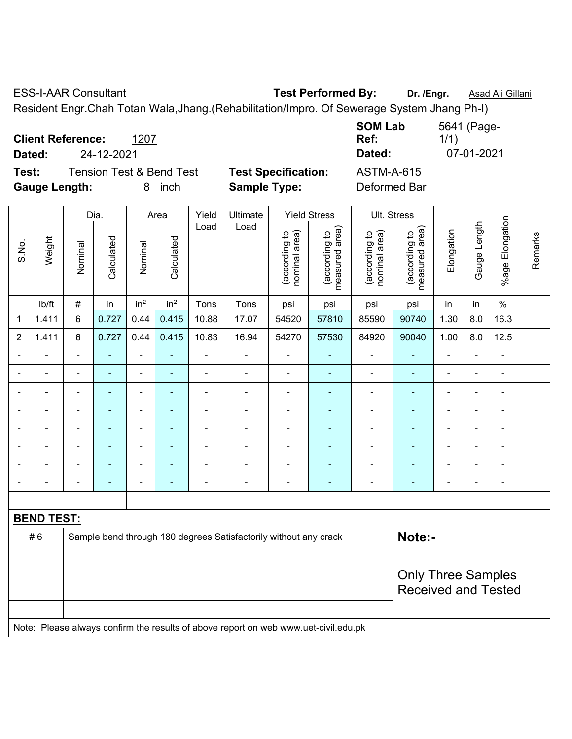ESS-I-AAR Consultant **Test Performed By: Dr. /Engr.** Asad Ali Gillani

Resident Engr.Chah Totan Wala,Jhang.(Rehabilitation/Impro. Of Sewerage System Jhang Ph-I)

| <b>Client Reference:</b><br>1207<br>24-12-2021<br>Dated:                          |                                                   | <b>SOM Lab</b><br>Ref:<br>Dated:  | 5641 (Page-<br>1/1)<br>07-01-2021 |
|-----------------------------------------------------------------------------------|---------------------------------------------------|-----------------------------------|-----------------------------------|
| <b>Tension Test &amp; Bend Test</b><br>Test:<br><b>Gauge Length:</b><br>inch<br>8 | <b>Test Specification:</b><br><b>Sample Type:</b> | <b>ASTM-A-615</b><br>Deformed Bar |                                   |

|                |                   | Dia.                     |                | Area                         |                              | Yield          | Ultimate                                                                            |                                | <b>Yield Stress</b>             |                                | Ult. Stress                     |                |                          |                          |         |
|----------------|-------------------|--------------------------|----------------|------------------------------|------------------------------|----------------|-------------------------------------------------------------------------------------|--------------------------------|---------------------------------|--------------------------------|---------------------------------|----------------|--------------------------|--------------------------|---------|
| S.No.          | Weight            | Nominal                  | Calculated     | Nominal                      | Calculated                   | Load           | Load                                                                                | nominal area)<br>(according to | (according to<br>measured area) | nominal area)<br>(according to | (according to<br>measured area) | Elongation     | Gauge Length             | %age Elongation          | Remarks |
|                | lb/ft             | $\#$                     | in             | in <sup>2</sup>              | in <sup>2</sup>              | Tons           | Tons                                                                                | psi                            | psi                             | psi                            | psi                             | in             | in                       | $\%$                     |         |
| 1              | 1.411             | $\,6$                    | 0.727          | 0.44                         | 0.415                        | 10.88          | 17.07                                                                               | 54520                          | 57810                           | 85590                          | 90740                           | 1.30           | 8.0                      | 16.3                     |         |
| $\overline{2}$ | 1.411             | $6\phantom{1}$           | 0.727          | 0.44                         | 0.415                        | 10.83          | 16.94                                                                               | 54270                          | 57530                           | 84920                          | 90040                           | 1.00           | 8.0                      | 12.5                     |         |
| $\blacksquare$ |                   | $\overline{a}$           | $\blacksquare$ | $\blacksquare$               | ä,                           | $\blacksquare$ |                                                                                     | $\blacksquare$                 | ٠                               | ä,                             | ä,                              |                | $\overline{a}$           | ä,                       |         |
| $\blacksquare$ |                   | ä,                       | ÷,             | $\qquad \qquad \blacksquare$ | ÷                            | $\blacksquare$ | $\blacksquare$                                                                      | $\blacksquare$                 | $\blacksquare$                  | $\blacksquare$                 | $\blacksquare$                  | ä,             | ÷                        | $\overline{\phantom{a}}$ |         |
| $\blacksquare$ | $\blacksquare$    | $\blacksquare$           | $\blacksquare$ | $\overline{\phantom{a}}$     | $\qquad \qquad \blacksquare$ | $\blacksquare$ | $\blacksquare$                                                                      | $\blacksquare$                 | $\blacksquare$                  | $\overline{\phantom{0}}$       | $\blacksquare$                  | ۰              | $\blacksquare$           | $\blacksquare$           |         |
|                |                   | $\blacksquare$           | ٠              | $\blacksquare$               | $\blacksquare$               | $\blacksquare$ | $\blacksquare$                                                                      | $\blacksquare$                 | ä,                              | ä,                             | $\blacksquare$                  | $\blacksquare$ | $\blacksquare$           | ä,                       |         |
|                | ÷                 | $\blacksquare$           | ÷,             | ÷,                           | ÷                            | $\blacksquare$ | $\blacksquare$                                                                      | $\blacksquare$                 | $\blacksquare$                  | $\blacksquare$                 | $\blacksquare$                  | ä,             | $\blacksquare$           | $\blacksquare$           |         |
|                |                   |                          | ۳              | ۰                            | $\blacksquare$               |                |                                                                                     | $\blacksquare$                 | $\blacksquare$                  | ۰                              |                                 |                |                          | $\blacksquare$           |         |
|                |                   |                          |                |                              |                              |                |                                                                                     |                                |                                 |                                |                                 |                |                          |                          |         |
| $\blacksquare$ |                   | $\overline{\phantom{0}}$ | ۰              | $\qquad \qquad \blacksquare$ | $\overline{\phantom{0}}$     | $\blacksquare$ | $\blacksquare$                                                                      | $\overline{\phantom{a}}$       | $\overline{\phantom{0}}$        | ÷                              | $\blacksquare$                  | ۰              | $\overline{\phantom{0}}$ | $\blacksquare$           |         |
|                |                   |                          |                |                              |                              |                |                                                                                     |                                |                                 |                                |                                 |                |                          |                          |         |
|                | <b>BEND TEST:</b> |                          |                |                              |                              |                |                                                                                     |                                |                                 |                                |                                 |                |                          |                          |         |
|                | #6                |                          |                |                              |                              |                | Sample bend through 180 degrees Satisfactorily without any crack                    |                                |                                 |                                | Note:-                          |                |                          |                          |         |
|                |                   |                          |                |                              |                              |                |                                                                                     |                                |                                 |                                |                                 |                |                          |                          |         |
|                |                   |                          |                |                              |                              |                | <b>Only Three Samples</b>                                                           |                                |                                 |                                |                                 |                |                          |                          |         |
|                |                   |                          |                |                              | <b>Received and Tested</b>   |                |                                                                                     |                                |                                 |                                |                                 |                |                          |                          |         |
|                |                   |                          |                |                              |                              |                |                                                                                     |                                |                                 |                                |                                 |                |                          |                          |         |
|                |                   |                          |                |                              |                              |                | Note: Please always confirm the results of above report on web www.uet-civil.edu.pk |                                |                                 |                                |                                 |                |                          |                          |         |